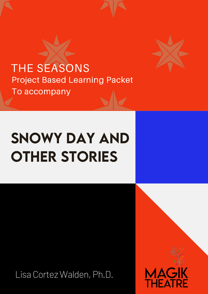THE SEASONS Project Based Learning Packet To accompany



## SNOWY DAY AND Other Stories

Lisa Cortez Walden, Ph.D.